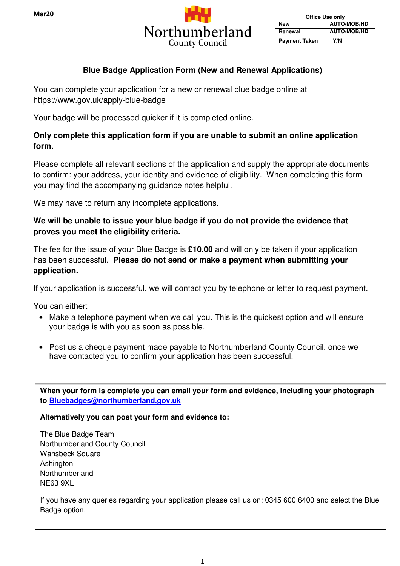

| <b>Office Use only</b> |                    |  |
|------------------------|--------------------|--|
| New                    | <b>AUTO/MOB/HD</b> |  |
| Renewal                | <b>AUTO/MOB/HD</b> |  |
| <b>Payment Taken</b>   | Y/N                |  |

## **Blue Badge Application Form (New and Renewal Applications)**

You can complete your application for a new or renewal blue badge online at https://www.gov.uk/apply-blue-badge

Your badge will be processed quicker if it is completed online.

## **Only complete this application form if you are unable to submit an online application form.**

Please complete all relevant sections of the application and supply the appropriate documents to confirm: your address, your identity and evidence of eligibility. When completing this form you may find the accompanying guidance notes helpful.

We may have to return any incomplete applications.

## **We will be unable to issue your blue badge if you do not provide the evidence that proves you meet the eligibility criteria.**

The fee for the issue of your Blue Badge is **£10.00** and will only be taken if your application has been successful. **Please do not send or make a payment when submitting your application.**

If your application is successful, we will contact you by telephone or letter to request payment.

You can either:

- Make a telephone payment when we call you. This is the quickest option and will ensure your badge is with you as soon as possible.
- Post us a cheque payment made payable to Northumberland County Council, once we have contacted you to confirm your application has been successful.

**When your form is complete you can email your form and evidence, including your photograph to Bluebadges@northumberland.gov.uk**

**Alternatively you can post your form and evidence to:** 

The Blue Badge Team Northumberland County Council Wansbeck Square Ashington Northumberland NE63 9XL

If you have any queries regarding your application please call us on: 0345 600 6400 and select the Blue Badge option.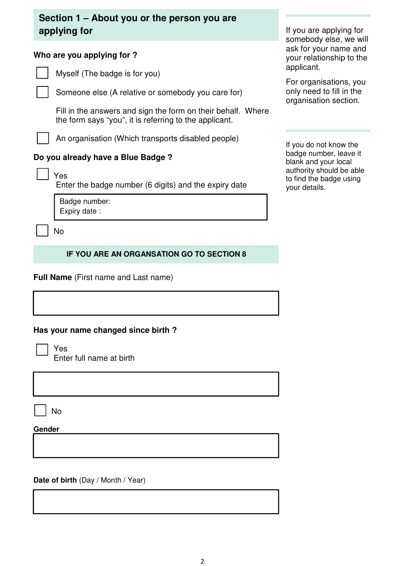# **Section 1 – About you or the person you are applying for**

## **Who are you applying for ?**

Myself (The badge is for you)

Someone else (A relative or somebody you care for)

 Fill in the answers and sign the form on their behalf. Where the form says "you", it is referring to the applicant.

An organisation (Which transports disabled people)

## **Do you already have a Blue Badge ?**

|--|

Enter the badge number (6 digits) and the expiry date

Badge number: Expiry date :

No

## **IF YOU ARE AN ORGANSATION GO TO SECTION 8**

**Full Name** (First name and Last name)

## **Has your name changed since birth ?**

Yes Enter full name at birth

No

**Gender** 

**Date of birth** (Day / Month / Year)

If you are applying for somebody else, we will ask for your name and your relationship to the applicant.

For organisations, you only need to fill in the organisation section.

If you do not know the badge number, leave it blank and your local authority should be able to find the badge using your details.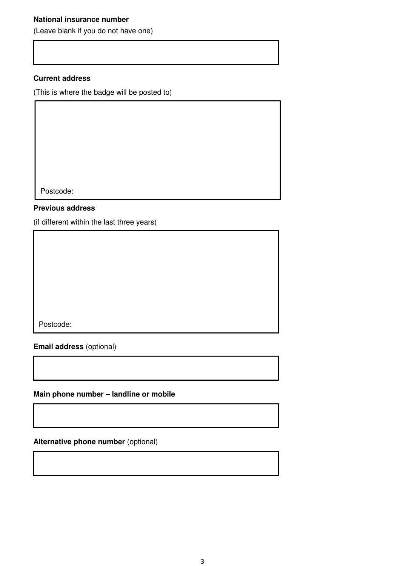## **National insurance number**

(Leave blank if you do not have one)

#### **Current address**

(This is where the badge will be posted to)

Postcode:

#### **Previous address**

(if different within the last three years)

Postcode:

**Email address** (optional)

**Main phone number – landline or mobile** 

**Alternative phone number** (optional)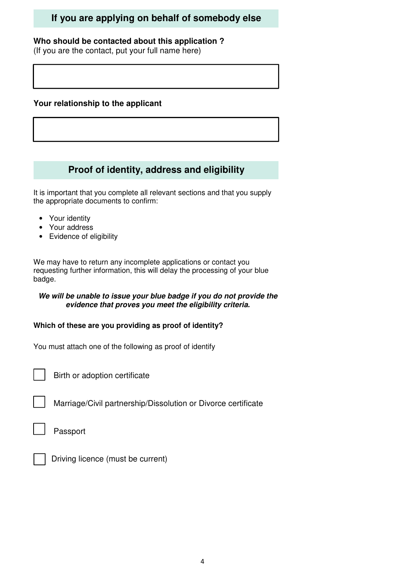# **If you are applying on behalf of somebody else**

### **Who should be contacted about this application ?**

(If you are the contact, put your full name here)

## **Your relationship to the applicant**

# **Proof of identity, address and eligibility**

It is important that you complete all relevant sections and that you supply the appropriate documents to confirm:

- Your identity
- Your address
- Evidence of eligibility

We may have to return any incomplete applications or contact you requesting further information, this will delay the processing of your blue badge.

#### **We will be unable to issue your blue badge if you do not provide the evidence that proves you meet the eligibility criteria.**

#### **Which of these are you providing as proof of identity?**

You must attach one of the following as proof of identify

Birth or adoption certificate

Marriage/Civil partnership/Dissolution or Divorce certificate

Passport



r

Driving licence (must be current)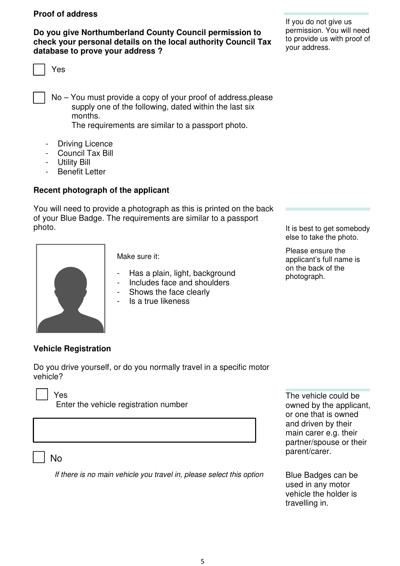#### **Proof of address**

**Do you give Northumberland County Council permission to check your personal details on the local authority Council Tax database to prove your address ?** 

Yes

 No – You must provide a copy of your proof of address,please supply one of the following, dated within the last six months.

The requirements are similar to a passport photo.

- Driving Licence
- Council Tax Bill
- Utility Bill
- Benefit Letter

#### **Recent photograph of the applicant**

You will need to provide a photograph as this is printed on the back of your Blue Badge. The requirements are similar to a passport photo.



Make sure it:

- Has a plain, light, background
- Includes face and shoulders
- Shows the face clearly
- Is a true likeness

If you do not give us permission. You will need to provide us with proof of your address.

It is best to get somebody else to take the photo.

Please ensure the applicant's full name is on the back of the photograph.

#### **Vehicle Registration**

Do you drive yourself, or do you normally travel in a specific motor vehicle?

Yes

Enter the vehicle registration number

No

If there is no main vehicle you travel in, please select this option

The vehicle could be owned by the applicant, or one that is owned and driven by their main carer e.g. their partner/spouse or their parent/carer.

Blue Badges can be used in any motor vehicle the holder is travelling in.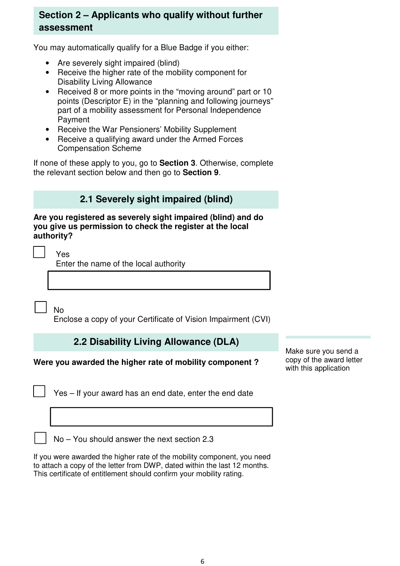# **Section 2 – Applicants who qualify without further assessment**

You may automatically qualify for a Blue Badge if you either:

- Are severely sight impaired (blind)
- Receive the higher rate of the mobility component for Disability Living Allowance
- Received 8 or more points in the "moving around" part or 10 points (Descriptor E) in the "planning and following journeys" part of a mobility assessment for Personal Independence Payment
- Receive the War Pensioners' Mobility Supplement
- Receive a qualifying award under the Armed Forces Compensation Scheme

If none of these apply to you, go to **Section 3**. Otherwise, complete the relevant section below and then go to **Section 9**.

# **2.1 Severely sight impaired (blind)**

#### **Are you registered as severely sight impaired (blind) and do you give us permission to check the register at the local authority?**

Yes

Enter the name of the local authority

No

Enclose a copy of your Certificate of Vision Impairment (CVI)

# **2.2 Disability Living Allowance (DLA)**

## **Were you awarded the higher rate of mobility component ?**

Yes – If your award has an end date, enter the end date

Make sure you send a copy of the award letter with this application

No – You should answer the next section 2.3

If you were awarded the higher rate of the mobility component, you need to attach a copy of the letter from DWP, dated within the last 12 months. This certificate of entitlement should confirm your mobility rating.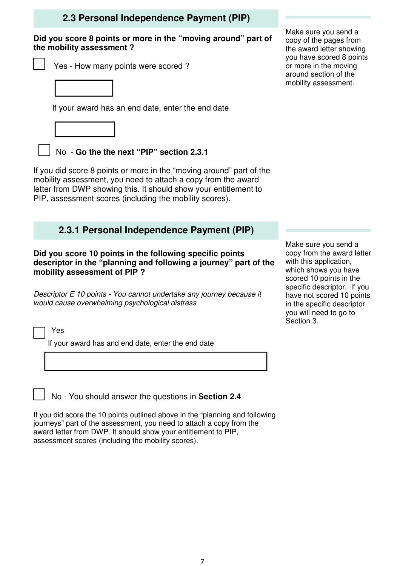## **2.3 Personal Independence Payment (PIP)**

#### **Did you score 8 points or more in the "moving around" part of the mobility assessment ?**

- Yes How many points were scored ?
	-

If your award has an end date, enter the end date



No - **Go the the next "PIP" section 2.3.1** 

If you did score 8 points or more in the "moving around" part of the mobility assessment, you need to attach a copy from the award letter from DWP showing this. It should show your entitlement to PIP, assessment scores (including the mobility scores).

## **2.3.1 Personal Independence Payment (PIP)**

**Did you score 10 points in the following specific points descriptor in the "planning and following a journey" part of the mobility assessment of PIP ?** 

Descriptor E 10 points - You cannot undertake any journey because it would cause overwhelming psychological distress

Yes

If your award has and end date, enter the end date

No - You should answer the questions in **Section 2.4** 

If you did score the 10 points outlined above in the "planning and following journeys" part of the assessment, you need to attach a copy from the award letter from DWP. It should show your entitlement to PIP, assessment scores (including the mobility scores).

Make sure you send a copy of the pages from the award letter showing you have scored 8 points or more in the moving around section of the mobility assessment.

Make sure you send a copy from the award letter with this application, which shows you have scored 10 points in the specific descriptor. If you have not scored 10 points in the specific descriptor you will need to go to Section 3.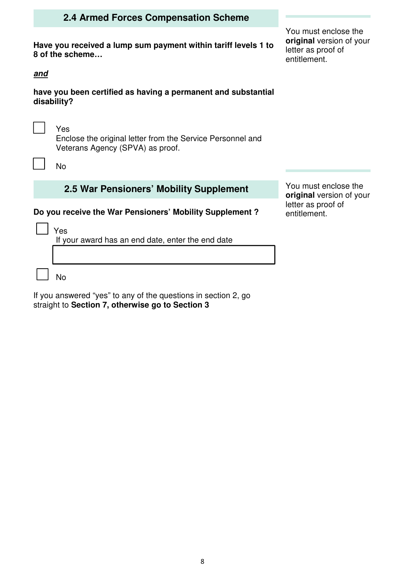## **2.4 Armed Forces Compensation Scheme**

**Have you received a lump sum payment within tariff levels 1 to 8 of the scheme…** 

**and** 

г<br>Г

F

**have you been certified as having a permanent and substantial disability?** 

Yes

 Enclose the original letter from the Service Personnel and Veterans Agency (SPVA) as proof.

No

## **2.5 War Pensioners' Mobility Supplement**

**Do you receive the War Pensioners' Mobility Supplement ?** 

Yes

If your award has an end date, enter the end date

No

If you answered "yes" to any of the questions in section 2, go straight to **Section 7, otherwise go to Section 3** 

You must enclose the **original** version of your letter as proof of entitlement.

You must enclose the **original** version of your letter as proof of entitlement.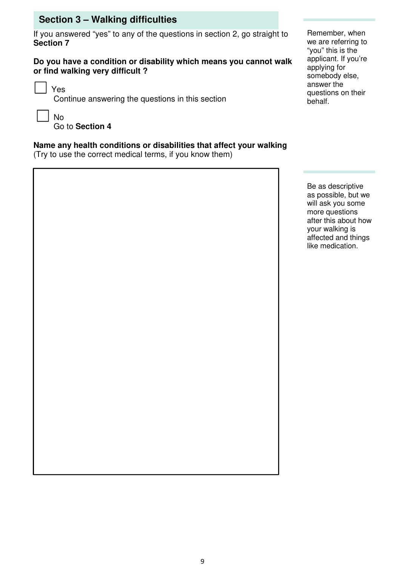# **Section 3 – Walking difficulties**

If you answered "yes" to any of the questions in section 2, go straight to **Section 7** 

#### **Do you have a condition or disability which means you cannot walk or find walking very difficult ?**

Yes

Continue answering the questions in this section

No

Go to **Section 4**

## **Name any health conditions or disabilities that affect your walking**

(Try to use the correct medical terms, if you know them)

Remember, when we are referring to "you" this is the applicant. If you're applying for somebody else, answer the questions on their behalf.

Be as descriptive as possible, but we will ask you some more questions after this about how your walking is affected and things like medication.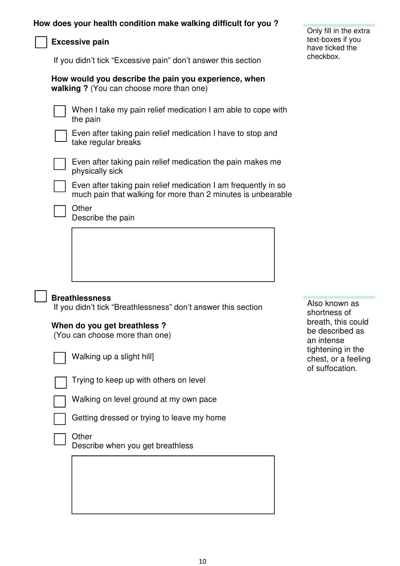## **Excessive pain**

If you didn't tick "Excessive pain" don't answer this section

#### **How would you describe the pain you experience, when walking ?** (You can choose more than one)

When I take my pain relief medication I am able to cope with the pain

Even after taking pain relief medication I have to stop and take regular breaks



Even after taking pain relief medication the pain makes me physically sick



Even after taking pain relief medication I am frequently in so much pain that walking for more than 2 minutes is unbearable

Describe the pain

#### **Breathlessness**

If you didn't tick "Breathlessness" don't answer this section

#### **When do you get breathless ?**

(You can choose more than one)



Walking up a slight hill]



Trying to keep up with others on level

Walking on level ground at my own pace

Getting dressed or trying to leave my home

**Other** 

Describe when you get breathless

Also known as shortness of breath, this could be described as an intense tightening in the chest, or a feeling of suffocation.

| Only fill in the extra |
|------------------------|
| text-boxes if you      |
| have ticked the        |
| checkbox.              |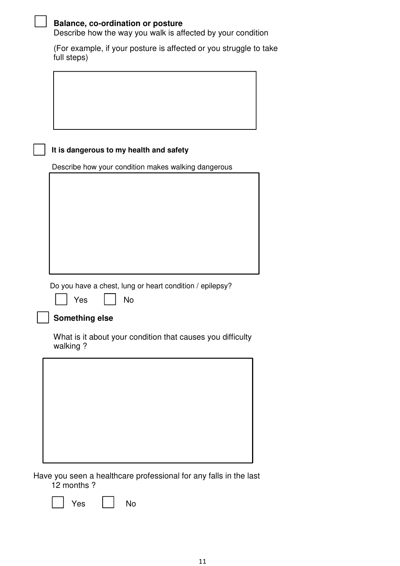|  | <b>Salance, co-ordination or posture</b>                    |
|--|-------------------------------------------------------------|
|  | Describe how the way you walk is affected by your condition |

 (For example, if your posture is affected or you struggle to take full steps)

## **It is dangerous to my health and safety**

Describe how your condition makes walking dangerous

Do you have a chest, lung or heart condition / epilepsy?



## **Something else**

 What is it about your condition that causes you difficulty walking ?



Have you seen a healthcare professional for any falls in the last 12 months ?

Yes | | No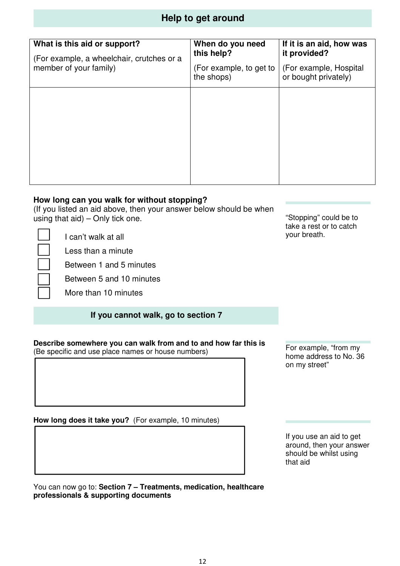# **Help to get around**

| What is this aid or support?<br>(For example, a wheelchair, crutches or a | When do you need<br>this help?        | If it is an aid, how was<br>it provided?       |
|---------------------------------------------------------------------------|---------------------------------------|------------------------------------------------|
| member of your family)                                                    | (For example, to get to<br>the shops) | (For example, Hospital<br>or bought privately) |
|                                                                           |                                       |                                                |
|                                                                           |                                       |                                                |
|                                                                           |                                       |                                                |
|                                                                           |                                       |                                                |
|                                                                           |                                       |                                                |

## **How long can you walk for without stopping?**

(If you listed an aid above, then your answer below should be when using that  $aid$ ) – Only tick one.

I can't walk at all

Less than a minute

Between 1 and 5 minutes

Between 5 and 10 minutes

More than 10 minutes

## **If you cannot walk, go to section 7**

**Describe somewhere you can walk from and to and how far this is**  (Be specific and use place names or house numbers)

**How long does it take you?** (For example, 10 minutes)

"Stopping" could be to take a rest or to catch your breath.

For example, "from my home address to No. 36 on my street"

If you use an aid to get around, then your answer should be whilst using that aid

You can now go to: **Section 7 – Treatments, medication, healthcare professionals & supporting documents**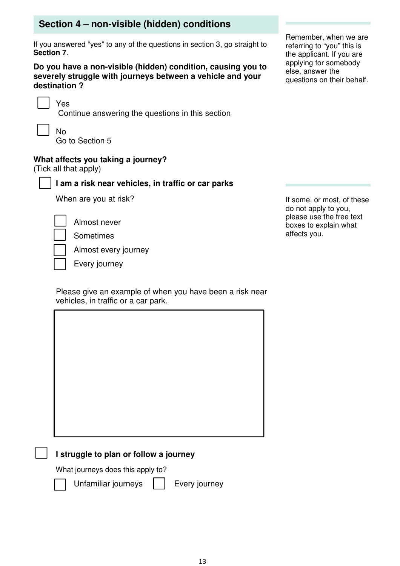# **Section 4 – non-visible (hidden) conditions**

If you answered "yes" to any of the questions in section 3, go straight to **Section 7**.

**Do you have a non-visible (hidden) condition, causing you to severely struggle with journeys between a vehicle and your destination ?** 

Yes

Continue answering the questions in this section

 No Go to Section 5

## **What affects you taking a journey?**

(Tick all that apply)

## **I am a risk near vehicles, in traffic or car parks**

When are you at risk?

Almost never

Sometimes

Almost every journey

Every journey

 Please give an example of when you have been a risk near vehicles, in traffic or a car park.

## **I struggle to plan or follow a journey**

What journeys does this apply to?



Unfamiliar journeys | | Every journey

Remember, when we are referring to "you" this is the applicant. If you are applying for somebody else, answer the questions on their behalf.

If some, or most, of these do not apply to you, please use the free text boxes to explain what affects you.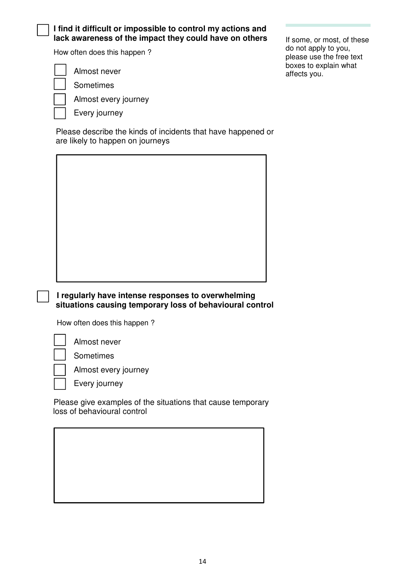#### **I find it difficult or impossible to control my actions and**  lack awareness of the impact they could have on others

How often does this happen ?

Almost never

Sometimes

Almost every journey

| Every journey

 Please describe the kinds of incidents that have happened or are likely to happen on journeys

If some, or most, of these do not apply to you, please use the free text boxes to explain what affects you.

## **I regularly have intense responses to overwhelming situations causing temporary loss of behavioural control**

How often does this happen ?

Almost never

Sometimes



Every journey

 Please give examples of the situations that cause temporary loss of behavioural control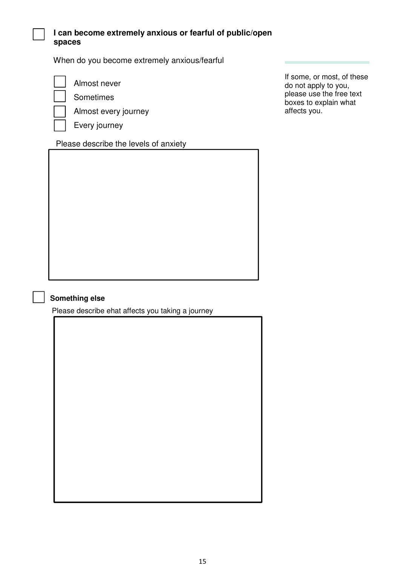## **I can become extremely anxious or fearful of public/open spaces**

When do you become extremely anxious/fearful



Almost never

Sometimes

Almost every journey

Every journey

## Please describe the levels of anxiety

If some, or most, of these do not apply to you, please use the free text boxes to explain what affects you.

## **Something else**

Please describe ehat affects you taking a journey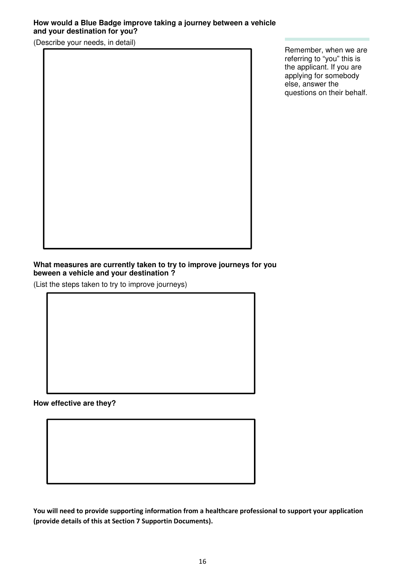## **How would a Blue Badge improve taking a journey between a vehicle and your destination for you?**

(Describe your needs, in detail)

Remember, when we are referring to "you" this is the applicant. If you are applying for somebody else, answer the questions on their behalf.

#### **What measures are currently taken to try to improve journeys for you beween a vehicle and your destination ?**

(List the steps taken to try to improve journeys)

**How effective are they?**

**You will need to provide supporting information from a healthcare professional to support your application (provide details of this at Section 7 Supportin Documents).**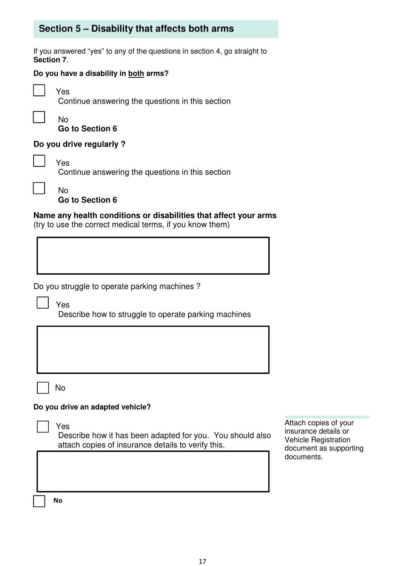# **Section 5 – Disability that affects both arms**

If you answered "yes" to any of the questions in section 4, go straight to **Section 7**.

### **Do you have a disability in both arms?**



Yes

Continue answering the questions in this section

 No **Go to Section 6** 

## **Do you drive regularly ?**

|  | Yes<br>Continue answering the questions in this section |
|--|---------------------------------------------------------|
|--|---------------------------------------------------------|

No

**Go to Section 6** 

#### **Name any health conditions or disabilities that affect your arms** (try to use the correct medical terms, if you know them)

Do you struggle to operate parking machines ?

Yes Describe how to struggle to operate parking machines

No

## **Do you drive an adapted vehicle?**

#### Yes

 Describe how it has been adapted for you. You should also attach copies of insurance details to verify this.

Attach copies of your insurance details or Vehicle Registration document as supporting documents.

 **No**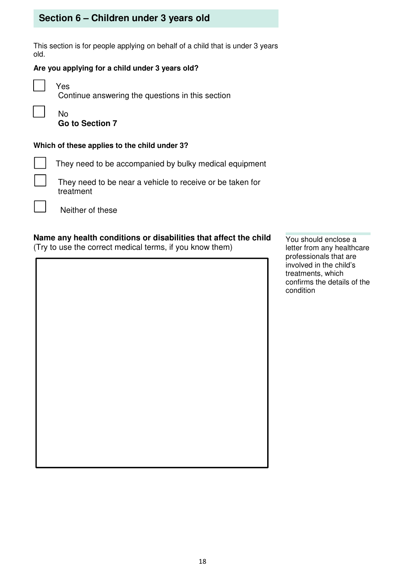# **Section 6 – Children under 3 years old**

This section is for people applying on behalf of a child that is under 3 years old.

#### **Are you applying for a child under 3 years old?**

 $\mathbf{r}$ 

j  Yes

Continue answering the questions in this section

 No **Go to Section 7** 

#### **Which of these applies to the child under 3?**

They need to be accompanied by bulky medical equipment

 They need to be near a vehicle to receive or be taken for treatment

Neither of these

## **Name any health conditions or disabilities that affect the child**

(Try to use the correct medical terms, if you know them)

You should enclose a letter from any healthcare professionals that are involved in the child's treatments, which confirms the details of the condition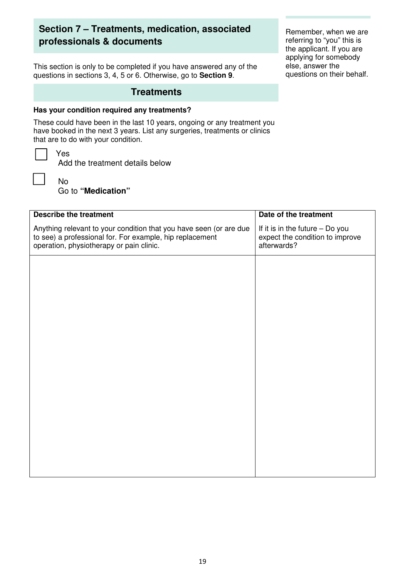# **Section 7 – Treatments, medication, associated professionals & documents**

This section is only to be completed if you have answered any of the questions in sections 3, 4, 5 or 6. Otherwise, go to **Section 9**.

## **Treatments**

#### **Has your condition required any treatments?**

These could have been in the last 10 years, ongoing or any treatment you have booked in the next 3 years. List any surgeries, treatments or clinics that are to do with your condition.



Add the treatment details below

 No Go to **"Medication"** 

| <b>Describe the treatment</b>                                                                                                                                              | Date of the treatment                                                             |
|----------------------------------------------------------------------------------------------------------------------------------------------------------------------------|-----------------------------------------------------------------------------------|
| Anything relevant to your condition that you have seen (or are due<br>to see) a professional for. For example, hip replacement<br>operation, physiotherapy or pain clinic. | If it is in the future - Do you<br>expect the condition to improve<br>afterwards? |
|                                                                                                                                                                            |                                                                                   |
|                                                                                                                                                                            |                                                                                   |
|                                                                                                                                                                            |                                                                                   |
|                                                                                                                                                                            |                                                                                   |
|                                                                                                                                                                            |                                                                                   |
|                                                                                                                                                                            |                                                                                   |
|                                                                                                                                                                            |                                                                                   |

Remember, when we are referring to "you" this is the applicant. If you are applying for somebody else, answer the questions on their behalf.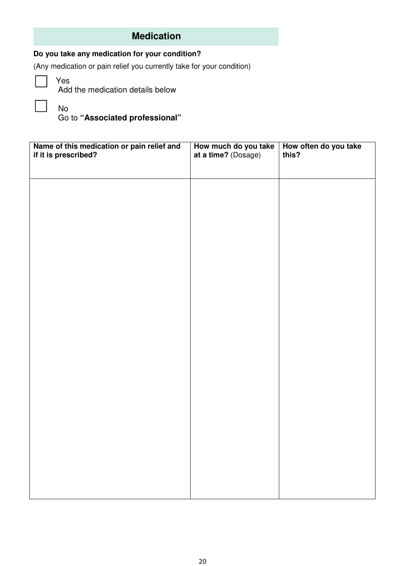# **Medication**

## **Do you take any medication for your condition?**

(Any medication or pain relief you currently take for your condition)

Yes

No

Add the medication details below

Go to **"Associated professional"** 

| Name of this medication or pain relief and<br>if it is prescribed? | How much do you take<br>at a time? (Dosage) | How often do you take<br>this? |
|--------------------------------------------------------------------|---------------------------------------------|--------------------------------|
|                                                                    |                                             |                                |
|                                                                    |                                             |                                |
|                                                                    |                                             |                                |
|                                                                    |                                             |                                |
|                                                                    |                                             |                                |
|                                                                    |                                             |                                |
|                                                                    |                                             |                                |
|                                                                    |                                             |                                |
|                                                                    |                                             |                                |
|                                                                    |                                             |                                |
|                                                                    |                                             |                                |
|                                                                    |                                             |                                |
|                                                                    |                                             |                                |
|                                                                    |                                             |                                |
|                                                                    |                                             |                                |
|                                                                    |                                             |                                |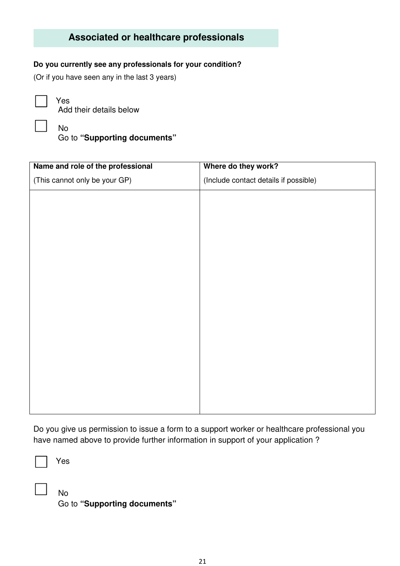# **Associated or healthcare professionals**

#### **Do you currently see any professionals for your condition?**

(Or if you have seen any in the last 3 years)



Yes Add their details below

No

Go to **"Supporting documents"** 

| Name and role of the professional | Where do they work?                   |
|-----------------------------------|---------------------------------------|
| (This cannot only be your GP)     | (Include contact details if possible) |
|                                   |                                       |
|                                   |                                       |
|                                   |                                       |
|                                   |                                       |
|                                   |                                       |
|                                   |                                       |
|                                   |                                       |
|                                   |                                       |
|                                   |                                       |
|                                   |                                       |
|                                   |                                       |
|                                   |                                       |
|                                   |                                       |
|                                   |                                       |
|                                   |                                       |

Do you give us permission to issue a form to a support worker or healthcare professional you have named above to provide further information in support of your application ?



Yes

 No Go to **"Supporting documents"**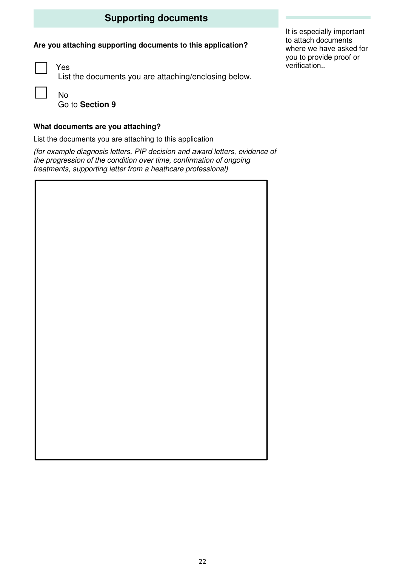# **Supporting documents**

## **Are you attaching supporting documents to this application?**

 $\overline{1}$ 

Yes List the documents you are attaching/enclosing below.

 No Go to **Section 9** 

### **What documents are you attaching?**

List the documents you are attaching to this application

(for example diagnosis letters, PIP decision and award letters, evidence of the progression of the condition over time, confirmation of ongoing treatments, supporting letter from a heathcare professional)

It is especially important to attach documents where we have asked for you to provide proof or verification..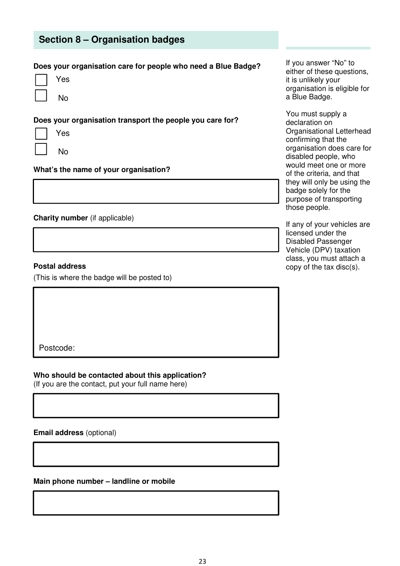## **Section 8 – Organisation badges**

#### **Does your organisation care for people who need a Blue Badge?**

| es |
|----|
|    |

II No

**Does your organisation transport the people you care for?** 

| Yes            |
|----------------|
| N <sub>O</sub> |

 $\frac{1}{1}$ 

#### **Charity number** (if applicable)

#### **Postal address**

(This is where the badge will be posted to)

**What's the name of your organisation?** 

Postcode:

**Who should be contacted about this application?** 

(If you are the contact, put your full name here)

**Email address** (optional)

**Main phone number – landline or mobile** 

If you answer "No" to either of these questions, it is unlikely your organisation is eligible for a Blue Badge.

You must supply a declaration on Organisational Letterhead confirming that the organisation does care for disabled people, who would meet one or more of the criteria, and that they will only be using the badge solely for the purpose of transporting those people.

If any of your vehicles are licensed under the Disabled Passenger Vehicle (DPV) taxation class, you must attach a copy of the tax disc(s).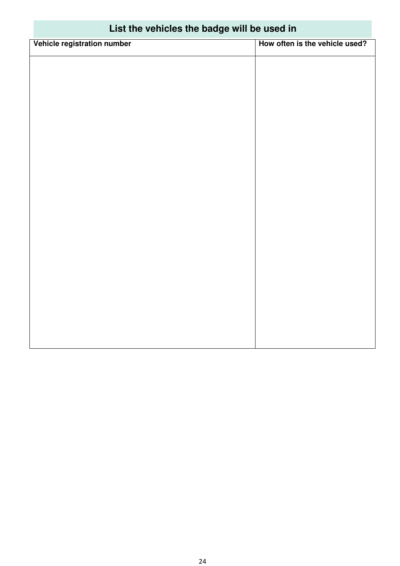| Fist the vehicles the padde will be used in |                                |  |
|---------------------------------------------|--------------------------------|--|
| Vehicle registration number                 | How often is the vehicle used? |  |
|                                             |                                |  |
|                                             |                                |  |
|                                             |                                |  |
|                                             |                                |  |
|                                             |                                |  |
|                                             |                                |  |
|                                             |                                |  |
|                                             |                                |  |
|                                             |                                |  |
|                                             |                                |  |
|                                             |                                |  |
|                                             |                                |  |
|                                             |                                |  |
|                                             |                                |  |
|                                             |                                |  |
|                                             |                                |  |
|                                             |                                |  |

# **List the vehicles the badge will be used in**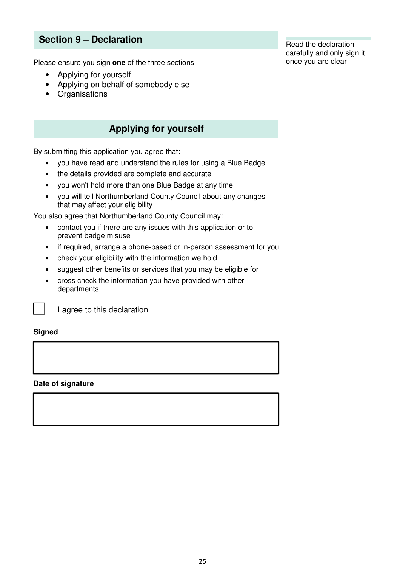# **Section 9 – Declaration**

Please ensure you sign **one** of the three sections

- Applying for yourself
- Applying on behalf of somebody else
- Organisations

## **Applying for yourself**

By submitting this application you agree that:

- you have read and understand the rules for using a Blue Badge
- the details provided are complete and accurate
- you won't hold more than one Blue Badge at any time
- you will tell Northumberland County Council about any changes that may affect your eligibility

You also agree that Northumberland County Council may:

- contact you if there are any issues with this application or to prevent badge misuse
- if required, arrange a phone-based or in-person assessment for you
- check your eligibility with the information we hold
- suggest other benefits or services that you may be eligible for
- cross check the information you have provided with other departments



I agree to this declaration

#### **Signed**

#### **Date of signature**

Read the declaration carefully and only sign it once you are clear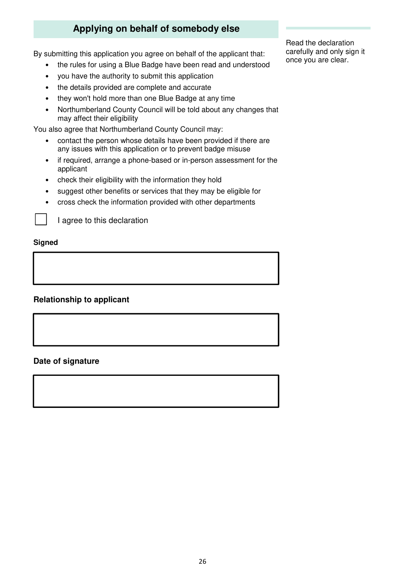# **Applying on behalf of somebody else**

By submitting this application you agree on behalf of the applicant that:

- the rules for using a Blue Badge have been read and understood
- you have the authority to submit this application
- the details provided are complete and accurate
- they won't hold more than one Blue Badge at any time
- Northumberland County Council will be told about any changes that may affect their eligibility

You also agree that Northumberland County Council may:

- contact the person whose details have been provided if there are any issues with this application or to prevent badge misuse
- if required, arrange a phone-based or in-person assessment for the applicant
- check their eligibility with the information they hold
- suggest other benefits or services that they may be eligible for
- cross check the information provided with other departments



I agree to this declaration

#### **Signed**

#### **Relationship to applicant**

#### **Date of signature**

Read the declaration carefully and only sign it once you are clear.